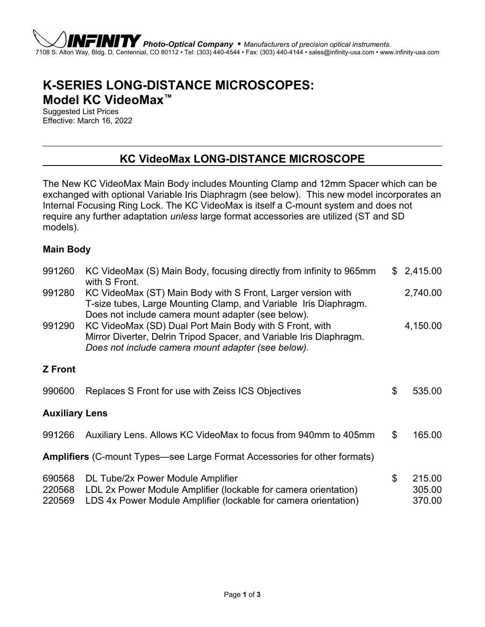# **K-SERIES LONG-DISTANCE MICROSCOPES: Model KC VideoMax™**

Suggested List Prices Effective: March 16, 2022

### **KC VideoMax LONG-DISTANCE MICROSCOPE**

The New KC VideoMax Main Body includes Mounting Clamp and 12mm Spacer which can be exchanged with optional Variable Iris Diaphragm (see below). This new model incorporates an Internal Focusing Ring Lock. The KC VideoMax is itself a C-mount system and does not require any further adaptation *unless* large format accessories are utilized (ST and SD models).

#### **Main Body**

| 991260                                                                           | KC VideoMax (S) Main Body, focusing directly from infinity to 965mm<br>with S Front.                                                                                                   |    | \$2,415.00                 |
|----------------------------------------------------------------------------------|----------------------------------------------------------------------------------------------------------------------------------------------------------------------------------------|----|----------------------------|
| 991280                                                                           | KC VideoMax (ST) Main Body with S Front, Larger version with<br>T-size tubes, Large Mounting Clamp, and Variable Iris Diaphragm.<br>Does not include camera mount adapter (see below). |    | 2,740.00                   |
| 991290                                                                           | KC VideoMax (SD) Dual Port Main Body with S Front, with<br>Mirror Diverter, Delrin Tripod Spacer, and Variable Iris Diaphragm.<br>Does not include camera mount adapter (see below).   |    | 4,150.00                   |
| <b>Z</b> Front                                                                   |                                                                                                                                                                                        |    |                            |
| 990600                                                                           | Replaces S Front for use with Zeiss ICS Objectives                                                                                                                                     | \$ | 535.00                     |
| <b>Auxiliary Lens</b>                                                            |                                                                                                                                                                                        |    |                            |
| 991266                                                                           | Auxiliary Lens. Allows KC VideoMax to focus from 940mm to 405mm                                                                                                                        | \$ | 165.00                     |
| <b>Amplifiers</b> (C-mount Types—see Large Format Accessories for other formats) |                                                                                                                                                                                        |    |                            |
| 690568<br>220568<br>220569                                                       | DL Tube/2x Power Module Amplifier<br>LDL 2x Power Module Amplifier (lockable for camera orientation)<br>LDS 4x Power Module Amplifier (lockable for camera orientation)                | \$ | 215.00<br>305.00<br>370.00 |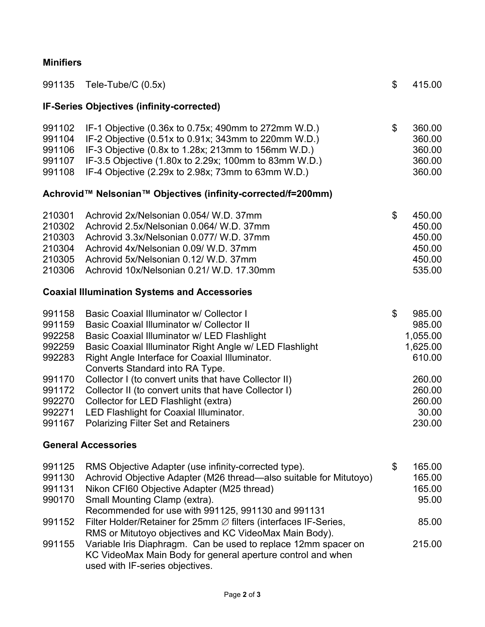### **Minifiers**

| 991135                                                                                           | Tele-Tube/C (0.5x)                                                                                                                                                                                                                                                                                                                                                                                                                                                                                                                      | \$ | 415.00                                                                                              |
|--------------------------------------------------------------------------------------------------|-----------------------------------------------------------------------------------------------------------------------------------------------------------------------------------------------------------------------------------------------------------------------------------------------------------------------------------------------------------------------------------------------------------------------------------------------------------------------------------------------------------------------------------------|----|-----------------------------------------------------------------------------------------------------|
|                                                                                                  | <b>IF-Series Objectives (infinity-corrected)</b>                                                                                                                                                                                                                                                                                                                                                                                                                                                                                        |    |                                                                                                     |
| 991102<br>991104<br>991106<br>991107<br>991108                                                   | IF-1 Objective (0.36x to 0.75x; 490mm to 272mm W.D.)<br>IF-2 Objective (0.51x to 0.91x; 343mm to 220mm W.D.)<br>IF-3 Objective (0.8x to 1.28x; 213mm to 156mm W.D.)<br>IF-3.5 Objective (1.80x to 2.29x; 100mm to 83mm W.D.)<br>IF-4 Objective (2.29x to 2.98x; 73mm to 63mm W.D.)                                                                                                                                                                                                                                                      | \$ | 360.00<br>360.00<br>360.00<br>360.00<br>360.00                                                      |
|                                                                                                  | Achrovid™ Nelsonian™ Objectives (infinity-corrected/f=200mm)                                                                                                                                                                                                                                                                                                                                                                                                                                                                            |    |                                                                                                     |
| 210301<br>210302<br>210303<br>210304<br>210305<br>210306                                         | Achrovid 2x/Nelsonian 0.054/ W.D. 37mm<br>Achrovid 2.5x/Nelsonian 0.064/ W.D. 37mm<br>Achrovid 3.3x/Nelsonian 0.077/ W.D. 37mm<br>Achrovid 4x/Nelsonian 0.09/ W.D. 37mm<br>Achrovid 5x/Nelsonian 0.12/ W.D. 37mm<br>Achrovid 10x/Nelsonian 0.21/ W.D. 17.30mm                                                                                                                                                                                                                                                                           | \$ | 450.00<br>450.00<br>450.00<br>450.00<br>450.00<br>535.00                                            |
|                                                                                                  | <b>Coaxial Illumination Systems and Accessories</b>                                                                                                                                                                                                                                                                                                                                                                                                                                                                                     |    |                                                                                                     |
| 991158<br>991159<br>992258<br>992259<br>992283<br>991170<br>991172<br>992270<br>992271<br>991167 | Basic Coaxial Illuminator w/ Collector I<br>Basic Coaxial Illuminator w/ Collector II<br>Basic Coaxial Illuminator w/ LED Flashlight<br>Basic Coaxial Illuminator Right Angle w/ LED Flashlight<br>Right Angle Interface for Coaxial Illuminator.<br>Converts Standard into RA Type.<br>Collector I (to convert units that have Collector II)<br>Collector II (to convert units that have Collector I)<br>Collector for LED Flashlight (extra)<br>LED Flashlight for Coaxial Illuminator.<br><b>Polarizing Filter Set and Retainers</b> | \$ | 985.00<br>985.00<br>1,055.00<br>1,625.00<br>610.00<br>260.00<br>260.00<br>260.00<br>30.00<br>230.00 |
| <b>General Accessories</b>                                                                       |                                                                                                                                                                                                                                                                                                                                                                                                                                                                                                                                         |    |                                                                                                     |
| 991125<br>991130<br>991131<br>990170<br>991152                                                   | RMS Objective Adapter (use infinity-corrected type).<br>Achrovid Objective Adapter (M26 thread—also suitable for Mitutoyo)<br>Nikon CFI60 Objective Adapter (M25 thread)<br>Small Mounting Clamp (extra).<br>Recommended for use with 991125, 991130 and 991131<br>Filter Holder/Retainer for 25mm $\varnothing$ filters (interfaces IF-Series,                                                                                                                                                                                         | \$ | 165.00<br>165.00<br>165.00<br>95.00<br>85.00                                                        |
| 991155                                                                                           | RMS or Mitutoyo objectives and KC VideoMax Main Body).<br>Variable Iris Diaphragm. Can be used to replace 12mm spacer on<br>KC VideoMax Main Body for general aperture control and when<br>used with IF-series objectives.                                                                                                                                                                                                                                                                                                              |    | 215.00                                                                                              |